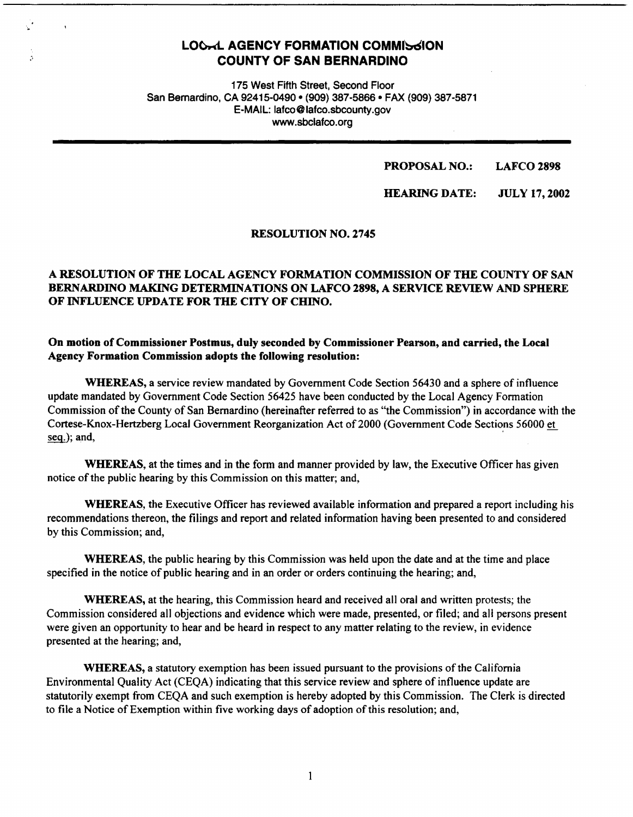# **LOCAL AGENCY FORMATION COMMISSION COUNTY OF SAN BERNARDINO**

175 West Fifth Street, Second Floor San Bernardino, CA 92415-0490 • (909) 387-5866 • FAX (909) 387-5871 E-MAIL: lafco@lafco.sbcounty.gov www.sbclafco.org

#### **PROPOSAL NO.: LAFCO2898**

**HEARING DATE: JULY 17,2002** 

#### **RESOLUTION NO. 2745**

# **A RESOLUTION OF THE LOCAL AGENCY FORMATION COMMISSION OF THE COUNTY OF SAN BERNARDINO MAKING DETERMINATIONS ON LAFCO 2898, A SERVICE REVIEW AND SPHERE OF INFLUENCE UPDATE FOR THE CITY OF CHINO.**

#### **On motion of Commissioner Postmus, duly seconded by Commissioner Pearson, and carried, the Local Agency Formation Commission adopts the following resolution:**

**WHEREAS,** a service review mandated by Government Code Section 56430 and a sphere of influence update mandated by Government Code Section 56425 have been conducted by the Local Agency Fonnation Commission of the County of San Bernardino (hereinafter referred to as "the Commission") in accordance with the Cortese-Knox-Hertzberg Local Government Reorganization Act of 2000 (Government Code Sections 56000 et  $seq$ ); and,

**WHEREAS,** at the times and in the form and manner provided by law, the Executive Officer has given notice of the public hearing by this Commission on this matter; and,

**WHEREAS,** the Executive Officer has reviewed available information and prepared a report including his recommendations thereon, the filings and report and related information having been presented to and considered by this Commission; and,

**WHEREAS,** the public hearing by this Commission was held upon the date and at the time and place specified in the notice of public hearing and in an order or orders continuing the hearing; and,

**WHEREAS,** at the hearing, this Commission heard and received all oral and written protests; the Commission considered all objections and evidence which were made, presented, or filed; and all persons present were given an opportunity to hear and be heard in respect to any matter relating to the review, in evidence presented at the hearing; and,

**WHEREAS,** a statutory exemption has been issued pursuant to the provisions of the California Environmental Quality Act (CEQA) indicating that this service review and sphere of influence update are statutorily exempt from CEQA and such exemption is hereby adopted by this Commission. The Clerk is directed to file a Notice of Exemption within five working days of adoption of this resolution; and,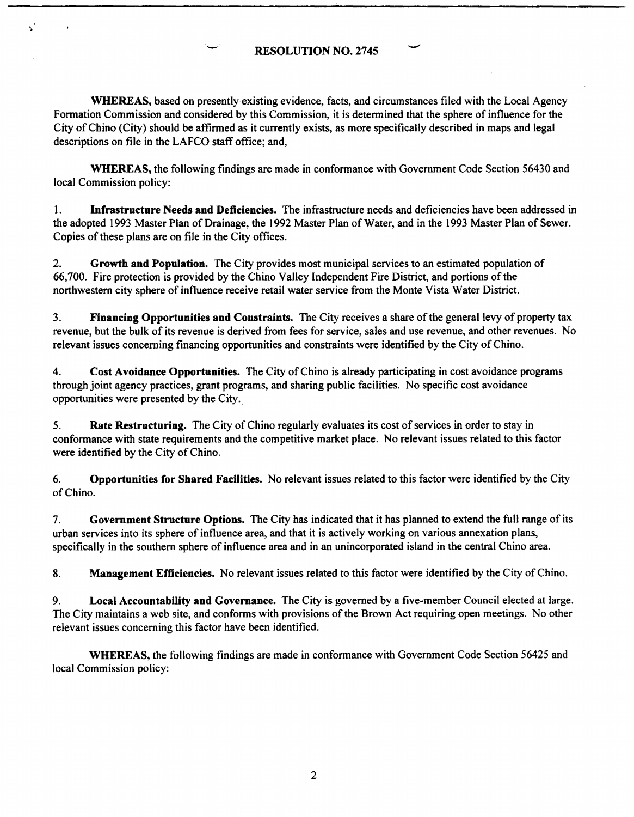# **RESOLUTION NO. 2745** -

**WHEREAS,** based on presently existing evidence, facts, and circumstances filed with the Local Agency Formation Commission and considered by this Commission, it is determined that the sphere of influence for the City of Chino (City) should be affirmed as it currently exists, as more specifically described in maps and legal descriptions on file in the LAFCO staff office; and,

**WHEREAS,** the following findings are made in conformance with Government Code Section 56430 and local Commission policy:

1. **Infrastructure Needs and Deficiencies.** The infrastructure needs and deficiencies have been addressed in the adopted 1993 Master Plan of Drainage, the l 992 Master Plan of Water, and in the 1993 Master Plan of Sewer. Copies of these plans are on file in the City offices.

2. **Growth and Population.** The City provides most municipal services to an estimated population of 66,700. Fire protection is provided by the Chino Valley Independent Fire District, and portions of the northwestern city sphere of influence receive retail water service from the Monte Vista Water District.

3. **Financing Opportunities and Constraints.** The City receives a share of the general levy of property tax revenue, but the bulk of its revenue is derived from fees for service, sales and use revenue, and other revenues. No relevant issues concerning financing opportunities and constraints were identified by the City of Chino.

4. **Cost Avoidance Opportunities.** The City of Chino is already participating in cost avoidance programs through joint agency practices, grant programs, and sharing public facilities. No specific cost avoidance opportunities were presented by the City.\_

5. **Rate Restructuring.** The City of Chino regularly evaluates its cost of services in order to stay in conformance with state requirements and the competitive market place. No relevant issues related to this factor were identified by the City of Chino.

6. **Opportunities for Shared Facilities.** No relevant issues related to this factor were identified by the City of Chino.

7. **Government Structure Options.** The City has indicated that it has planned to extend the full range of its urban services into its sphere of influence area, and that it is actively working on various annexation plans, specifically in the southern sphere of influence area and in an unincorporated island in the central Chino area.

**8. Management Efficiencies.** No relevant issues related to this factor were identified by the City of Chino.

9. **Local Accountability and Governance.** The City is governed by a five-member Council elected at large. The City maintains a web site, and conforms with provisions of the Brown Act requiring open meetings. No other relevant issues concerning this factor have been identified.

**WHEREAS,** the following findings are made in conformance with Government Code Section 56425 and local Commission policy: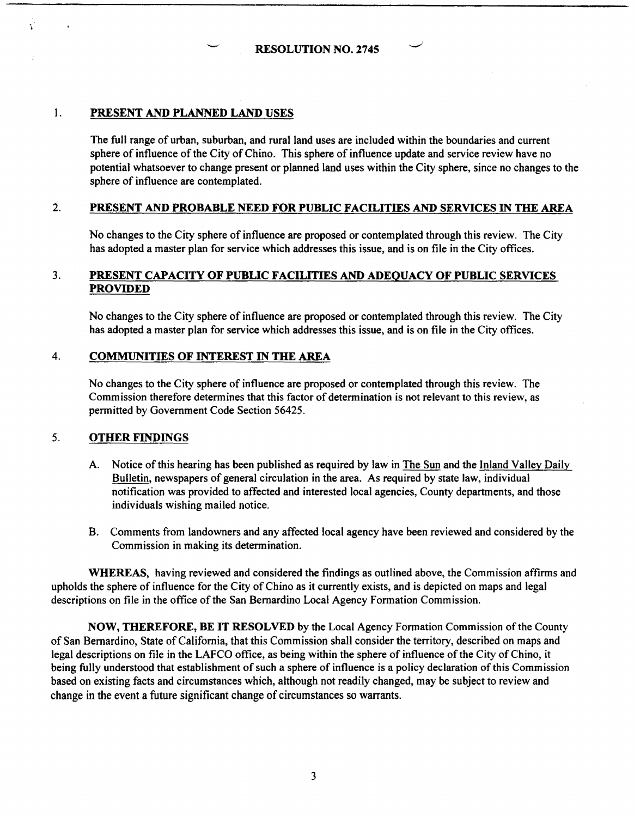**RESOLUTION NO. 2745** 

# 1. **PRESENT AND PLANNED LAND USES**

The full range of urban, suburban, and rural land uses are included within the boundaries and current sphere of influence of the City of Chino. This sphere of influence update and service review have no potential whatsoever to change present or planned land uses within the City sphere, since no changes to the sphere of influence are contemplated.

### 2. **PRESENT AND PROBABLE NEED FOR PUBLIC FACILITIES AND SERVICES** IN **THE AREA**

No changes to the City sphere of influence are proposed or contemplated through this review. The City has adopted a master plan for service which addresses this issue, and is on file in the City offices.

# 3. **PRESENT CAPACITY OF PUBLIC FACILITIES AND ADEQUACY OF PUBLIC SERVICES PROVIDED**

No changes to the City sphere of influence are proposed or contemplated through this review. The City has adopted a master plan for service which addresses this issue, and is on file in the City offices.

#### 4. **COMMUNITIES OF INTEREST** IN **THE AREA**

No changes to the City sphere of influence are proposed or contemplated through this review. The Commission therefore determines that this factor of determination is not relevant to this review, as permitted by Government Code Section 56425.

### 5. **OTHER FINDINGS**

- A. Notice of this hearing has been published as required by law in The Sun and the Inland Valley Daily Bulletin, newspapers of general circulation in the area. As required by state law, individual notification was provided to affected and interested local agencies, County departments, and those individuals wishing mailed notice.
- 8. Comments from landowners and any affected local agency have been reviewed and considered by the Commission in making its determination.

**WHEREAS,** having reviewed and considered the findings as outlined above, the Commission affirms and upholds the sphere of influence for the City of Chino as it currently exists, and is depicted on maps and legal descriptions on file in the office of the San Bernardino Local Agency Formation Commission.

**NOW, THEREFORE, BE IT RESOLVED** by the Local Agency Formation Commission of the County of San Bernardino, State of California, that this Commission shall consider the territory, described on maps and legal descriptions on file in the LAFCO office, as being within the sphere of influence of the City of Chino, it being fully understood that establishment of such a sphere of influence is a policy declaration of this Commission based on existing facts and circumstances which, although not readily changed, may be subject to review and change in the event a future significant change of circumstances so warrants.